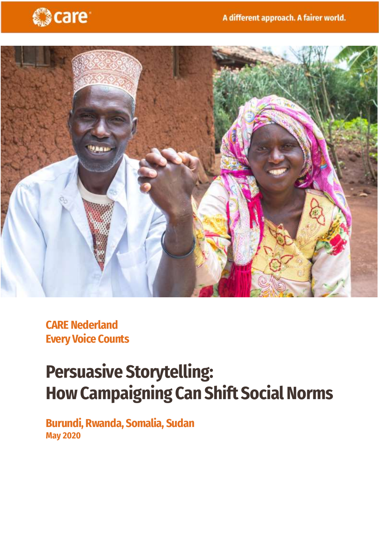



**CARE Nederland Every Voice Counts**

# **Persuasive Storytelling: HowCampaigning Can Shift Social Norms**

**Burundi, Rwanda, Somalia, Sudan May 2020**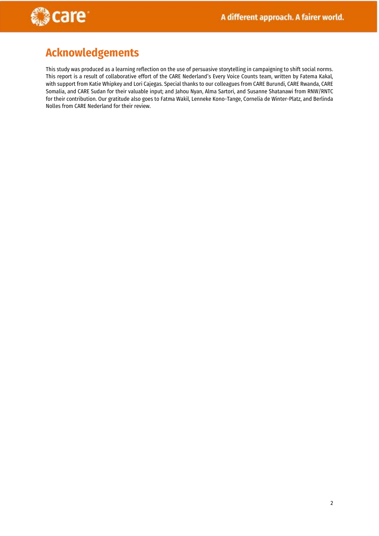

## **Acknowledgements**

This study was produced as a learning reflection on the use of persuasive storytelling in campaigning to shift social norms. This report is a result of collaborative effort of the CARE Nederland's Every Voice Counts team, written by Fatema Kakal, with support from Katie Whipkey and Lori Cajegas. Special thanks to our colleagues from CARE Burundi, CARE Rwanda, CARE Somalia, and CARE Sudan for their valuable input; and Jahou Nyan, Alma Sartori, and Susanne Shatanawi from RNW/RNTC for their contribution. Our gratitude also goes to Fatma Wakil, Lenneke Kono-Tange, Cornelia de Winter-Platz, and Berlinda Nolles from CARE Nederland for their review.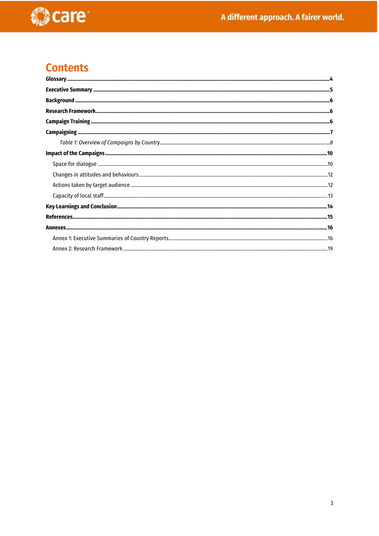

## **Contents**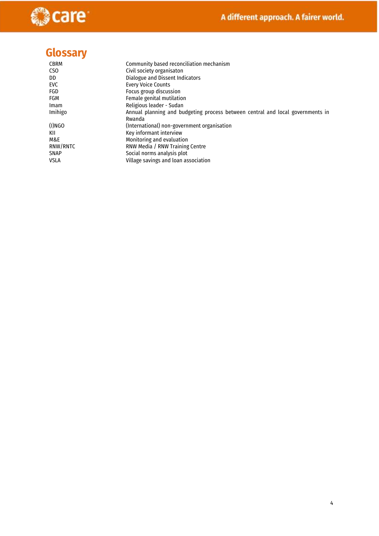

## <span id="page-3-0"></span>**Glossary**

| <b>CBRM</b> | Community based reconciliation mechanism                                       |
|-------------|--------------------------------------------------------------------------------|
| CSO         | Civil society organisaton                                                      |
| DD          | Dialogue and Dissent Indicators                                                |
| EVC         | <b>Every Voice Counts</b>                                                      |
| FGD         | Focus group discussion                                                         |
| FGM         | Female genital mutilation                                                      |
| <b>Imam</b> | Religious leader - Sudan                                                       |
| Imihigo     | Annual planning and budgeting process between central and local governments in |
|             | Rwanda                                                                         |
| (I)NGO      | (International) non-government organisation                                    |
| KII         | Key informant interview                                                        |
| M&E         | Monitoring and evaluation                                                      |
| RNW/RNTC    | RNW Media / RNW Training Centre                                                |
| <b>SNAP</b> | Social norms analysis plot                                                     |
| VSLA        | Village savings and loan association                                           |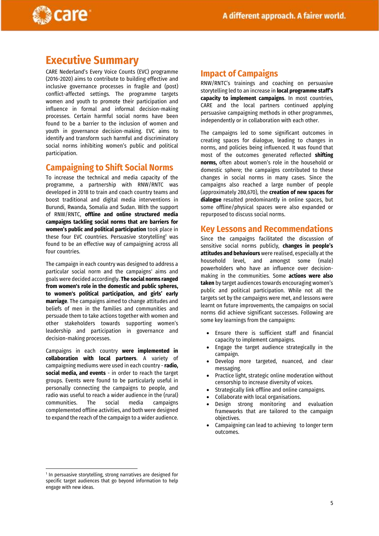

### <span id="page-4-0"></span>**Executive Summary**

CARE Nederland's Every Voice Counts (EVC) programme (2016-2020) aims to contribute to building effective and inclusive governance processes in fragile and (post) conflict-affected settings. The programme targets women and youth to promote their participation and influence in formal and informal decision-making processes. Certain harmful social norms have been found to be a barrier to the inclusion of women and youth in governance decision-making. EVC aims to identify and transform such harmful and discriminatory social norms inhibiting women's public and political participation.

#### **Campaigning to Shift Social Norms**

To increase the technical and media capacity of the programme, a partnership with RNW/RNTC was developed in 2018 to train and coach country teams and boost traditional and digital media interventions in Burundi, Rwanda, Somalia and Sudan. With the support of RNW/RNTC, **offline and online structured media campaigns tackling social norms that are barriers for women's public and political participation** took place in these four EVC countries. Persuasive storytelling<sup>1</sup> was found to be an effective way of campaigning across all four countries.

The campaign in each country was designed to address a particular social norm and the campaigns' aims and goals were decided accordingly. **The social norms ranged from women's role in the domestic and public spheres, to women's political participation, and girls' early marriage**. The campaigns aimed to change attitudes and beliefs of men in the families and communities and persuade them to take actions together with women and other stakeholders towards supporting women's leadership and participation in governance and decision-making processes.

Campaigns in each country **were implemented in collaboration with local partners**. A variety of campaigning mediums were used in each country - **radio, social media, and events** - in order to reach the target groups. Events were found to be particularly useful in personally connecting the campaigns to people, and radio was useful to reach a wider audience in the (rural) communities. The social media campaigns complemented offline activities, and both were designed to expand the reach of the campaign to a wider audience.

#### **Impact of Campaigns**

RNW/RNTC's trainings and coaching on persuasive storytelling led to an increase in **local programme staff's capacity to implement campaigns**. In most countries, CARE and the local partners continued applying persuasive campaigning methods in other programmes, independently or in collaboration with each other.

The campaigns led to some significant outcomes in creating spaces for dialogue, leading to changes in norms, and policies being influenced. It was found that most of the outcomes generated reflected **shifting norms,** often about women's role in the household or domestic sphere; the campaigns contributed to these changes in social norms in many cases. Since the campaigns also reached a large number of people (approximately 280,670), the **creation of new spaces for dialogue** resulted predominantly in online spaces, but some offline/physical spaces were also expanded or repurposed to discuss social norms.

#### **Key Lessons and Recommendations**

Since the campaigns facilitated the discussion of sensitive social norms publicly, **changes in people's attitudes and behaviours** were realised, especially at the household level, and amongst some (male) powerholders who have an influence over decisionmaking in the communities. Some **actions were also taken** by target audiences towards encouraging women's public and political participation. While not all the targets set by the campaigns were met, and lessons were learnt on future improvements, the campaigns on social norms did achieve significant successes. Following are some key learnings from the campaigns:

- Ensure there is sufficient staff and financial capacity to implement campaigns.
- Engage the target audience strategically in the campaign.
- Develop more targeted, nuanced, and clear messaging.
- Practice light, strategic online moderation without censorship to increase diversity of voices.
- Strategically link offline and online campaigns.
- Collaborate with local organisations.
- Design strong monitoring and evaluation frameworks that are tailored to the campaign objectives.
- Campaigning can lead to achieving to longer term outcomes.

1

<sup>&</sup>lt;sup>1</sup> In persuasive storytelling, strong narratives are designed for specific target audiences that go beyond information to help engage with new ideas.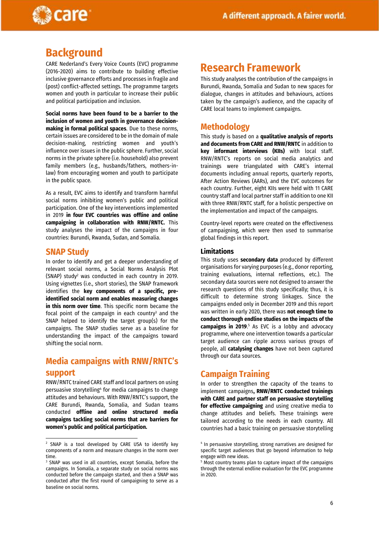

## <span id="page-5-0"></span>**Background**

CARE Nederland's Every Voice Counts (EVC) programme (2016-2020) aims to contribute to building effective inclusive governance efforts and processes in fragile and (post) conflict-affected settings. The programme targets women and youth in particular to increase their public and political participation and inclusion.

**Social norms have been found to be a barrier to the inclusion of women and youth in governance decisionmaking in formal political spaces**. Due to these norms, certain issues are considered to be in the domain of male decision-making, restricting women and youth's influence over issues in the public sphere. Further, social norms in the private sphere (i.e. household) also prevent family members (e.g., husbands/fathers, mothers-inlaw) from encouraging women and youth to participate in the public space.

As a result, EVC aims to identify and transform harmful social norms inhibiting women's public and political participation. One of the key interventions implemented in 2019 **in four EVC countries was offline and online campaigning in collaboration with RNW/RNTC.** This study analyses the impact of the campaigns in four countries: Burundi, Rwanda, Sudan, and Somalia.

#### **SNAP Study**

1

In order to identify and get a deeper understanding of relevant social norms, a Social Norms Analysis Plot (SNAP) study<sup>2</sup> was conducted in each country in 2019. Using vignettes (i.e., short stories), the SNAP framework identifies the **key components of a specific, preidentified social norm and enables measuring changes in this norm over time**. This specific norm became the focal point of the campaign in each country<sup>3</sup> and the SNAP helped to identify the target group(s) for the campaigns. The SNAP studies serve as a baseline for understanding the impact of the campaigns toward shifting the social norm.

### **Media campaigns with RNW/RNTC's support**

RNW/RNTC trained CARE staff and local partners on using persuasive storytelling<sup>4</sup> for media campaigns to change attitudes and behaviours. With RNW/RNTC's support, the CARE Burundi, Rwanda, Somalia, and Sudan teams conducted **offline and online structured media campaigns tackling social norms that are barriers for women's public and political participation.** 

### <span id="page-5-1"></span>**Research Framework**

This study analyses the contribution of the campaigns in Burundi, Rwanda, Somalia and Sudan to new spaces for dialogue, changes in attitudes and behaviours, actions taken by the campaign's audience, and the capacity of CARE local teams to implement campaigns.

#### **Methodology**

This study is based on a **qualitative analysis of reports and documents from CARE and RNW/RNTC** in addition to **key informant interviews (KIIs)** with local staff. RNW/RNTC's reports on social media analytics and trainings were triangulated with CARE's internal documents including annual reports, quarterly reports, After Action Reviews (AARs), and the EVC outcomes for each country. Further, eight KIIs were held with 11 CARE country staff and local partner staff in addition to one KII with three RNW/RNTC staff, for a holistic perspective on the implementation and impact of the campaigns.

Country-level reports were created on the effectiveness of campaigning, which were then used to summarise global findings in this report.

#### **Limitations**

This study uses **secondary data** produced by different organisations for varying purposes (e.g., donor reporting, training evaluations, internal reflections, etc.). The secondary data sources were not designed to answer the research questions of this study specifically; thus, it is difficult to determine strong linkages. Since the campaigns ended only in December 2019 and this report was written in early 2020, there was **not enough time to conduct thorough endline studies on the impacts of the campaigns in 2019.**<sup>5</sup> As EVC is a lobby and advocacy programme, where one intervention towards a particular target audience can ripple across various groups of people, all **catalysing changes** have not been captured through our data sources.

### <span id="page-5-2"></span>**Campaign Training**

In order to strengthen the capacity of the teams to implement campaigns**, RNW/RNTC conducted trainings with CARE and partner staff on persuasive storytelling for effective campaigning** and using creative media to change attitudes and beliefs. These trainings were tailored according to the needs in each country. All countries had a basic training on persuasive storytelling

<sup>2</sup> SNAP is a tool developed by CARE USA to identify key components of a norm and measure changes in the norm over time.

<sup>3</sup> SNAP was used in all countries, except Somalia, before the campaigns. In Somalia, a separate study on social norms was conducted before the campaign started, and then a SNAP was conducted after the first round of campaigning to serve as a baseline on social norms.

<sup>4</sup> In persuasive storytelling, strong narratives are designed for specific target audiences that go beyond information to help engage with new ideas.

<sup>&</sup>lt;sup>5</sup> Most country teams plan to capture impact of the campaigns through the external endline evaluation for the EVC programme in 2020.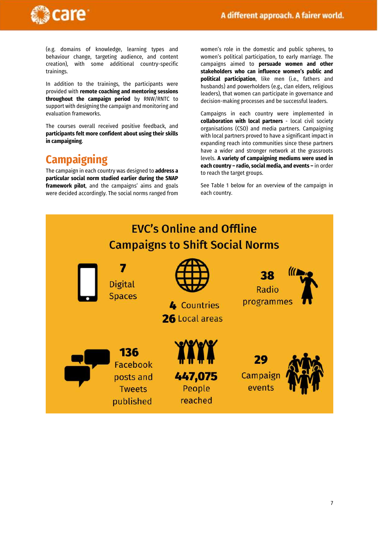

(e.g. domains of knowledge, learning types and behaviour change, targeting audience, and content creation), with some additional country-specific trainings.

In addition to the trainings, the participants were provided with **remote coaching and mentoring sessions throughout the campaign period** by RNW/RNTC to support with designing the campaign and monitoring and evaluation frameworks.

The courses overall received positive feedback, and **participants felt more confident about using their skills in campaigning**.

## <span id="page-6-0"></span>**Campaigning**

The campaign in each country was designed to **address a particular social norm studied earlier during the SNAP framework pilot**, and the campaigns' aims and goals were decided accordingly. The social norms ranged from women's role in the domestic and public spheres, to women's political participation, to early marriage. The campaigns aimed to **persuade women and other stakeholders who can influence women's public and political participation**, like men (i.e., fathers and husbands) and powerholders (e.g., clan elders, religious leaders), that women can participate in governance and decision-making processes and be successful leaders.

Campaigns in each country were implemented in **collaboration with local partners** - local civil society organisations (CSO) and media partners. Campaigning with local partners proved to have a significant impact in expanding reach into communities since these partners have a wider and stronger network at the grassroots levels. **A variety of campaigning mediums were used in each country – radio, social media, and events –** in order to reach the target groups.

See Table 1 below for an overview of the campaign in each country.

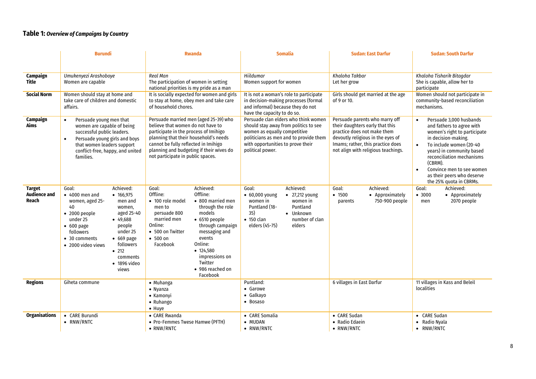#### **Table 1:** *Overview of Campaigns by Country*

<span id="page-7-0"></span>

|                                               | <b>Burundi</b>                                                                                                                                                                                                                                                                                                                                            | <b>Rwanda</b>                                                                                                                                                                                                                                                                                                                                                                  | <b>Somalia</b>                                                                                                                                                                                                   | <b>Sudan: East Darfur</b>                                                                                                                                                                                         | <b>Sudan: South Darfur</b>                                                                                                                                                                                                                                                                                                               |
|-----------------------------------------------|-----------------------------------------------------------------------------------------------------------------------------------------------------------------------------------------------------------------------------------------------------------------------------------------------------------------------------------------------------------|--------------------------------------------------------------------------------------------------------------------------------------------------------------------------------------------------------------------------------------------------------------------------------------------------------------------------------------------------------------------------------|------------------------------------------------------------------------------------------------------------------------------------------------------------------------------------------------------------------|-------------------------------------------------------------------------------------------------------------------------------------------------------------------------------------------------------------------|------------------------------------------------------------------------------------------------------------------------------------------------------------------------------------------------------------------------------------------------------------------------------------------------------------------------------------------|
|                                               |                                                                                                                                                                                                                                                                                                                                                           |                                                                                                                                                                                                                                                                                                                                                                                |                                                                                                                                                                                                                  |                                                                                                                                                                                                                   |                                                                                                                                                                                                                                                                                                                                          |
| Campaign<br><b>Title</b>                      | Umukenyezi Arashoboye<br>Women are capable                                                                                                                                                                                                                                                                                                                | <b>Real Man</b><br>The participation of women in setting<br>national priorities is my pride as a man                                                                                                                                                                                                                                                                           | Hiildumar<br>Women support for women                                                                                                                                                                             | Khaloha Takbar<br>Let her grow                                                                                                                                                                                    | Khaloha Tisharik Bitagdar<br>She is capable, allow her to<br>participate                                                                                                                                                                                                                                                                 |
| <b>Social Norm</b>                            | Women should stay at home and<br>take care of children and domestic<br>affairs.                                                                                                                                                                                                                                                                           | It is socially expected for women and girls<br>to stay at home, obey men and take care<br>of household chores.                                                                                                                                                                                                                                                                 | It is not a woman's role to participate<br>in decision-making processes (formal<br>and informal) because they do not<br>have the capacity to do so.                                                              | Girls should get married at the age<br>of 9 or 10.                                                                                                                                                                | Women should not participate in<br>community-based reconciliation<br>mechanisms.                                                                                                                                                                                                                                                         |
| Campaign<br>Aims                              | Persuade young men that<br>$\bullet$<br>women are capable of being<br>successful public leaders.<br>Persuade young girls and boys<br>$\bullet$<br>that women leaders support<br>conflict-free, happy, and united<br>families.                                                                                                                             | Persuade married men (aged 25-39) who<br>believe that women do not have to<br>participate in the process of Imihigo<br>planning that their household's needs<br>cannot be fully reflected in Imihigo<br>planning and budgeting if their wives do<br>not participate in public spaces.                                                                                          | Persuade clan elders who think women<br>should stay away from politics to see<br>women as equally competitive<br>politicians as men and to provide them<br>with opportunities to prove their<br>political power. | Persuade parents who marry off<br>their daughters early that this<br>practice does not make them<br>devoutly religious in the eyes of<br>Imams; rather, this practice does<br>not align with religious teachings. | Persuade 3,000 husbands<br>$\bullet$<br>and fathers to agree with<br>women's right to participate<br>in decision-making.<br>To include women (20-40<br>$\bullet$<br>years) in community based<br>reconciliation mechanisms<br>(CBRM).<br>Convince men to see women<br>$\bullet$<br>as their peers who deserve<br>the 25% quota in CBRMs. |
| <b>Target</b><br><b>Audience and</b><br>Reach | Achieved:<br>Goal:<br>$\bullet$ 4000 men and<br>• 166,975<br>women, aged 25-<br>men and<br>40<br>women,<br>aged 25-40<br>$\bullet$ 2000 people<br>under 25<br>$-49,688$<br>people<br>$\bullet$ 600 page<br>under 25<br>followers<br>$-669$ page<br>• 30 comments<br>followers<br>• 2000 video views<br>• 212<br>comments<br>$\bullet$ 1896 video<br>views | Achieved:<br>Goal:<br>Offline:<br>Offline:<br>• 800 married men<br>• 100 role model<br>men to<br>through the role<br>models<br>persuade 800<br>married men<br>$\bullet$ 6510 people<br>Online:<br>through campaign<br>• 500 on Twitter<br>messaging and<br>• 500 on<br>events<br>Online:<br>Facebook<br>• 124,580<br>impressions on<br>Twitter<br>• 986 reached on<br>Facebook | Achieved:<br>Goal:<br>$\bullet$ 60,000 young<br>• 27,212 young<br>women in<br>women in<br>Puntland<br>Puntland (18-<br>35)<br>• Unknown<br>$\bullet$ 150 clan<br>number of clan<br>elders<br>elders (45-75)      | Achieved:<br>Goal:<br>• 1500<br>• Approximately<br>750-900 people<br>parents                                                                                                                                      | Achieved:<br>Goal:<br>• 3000<br>• Approximately<br>2070 people<br>men                                                                                                                                                                                                                                                                    |
| <b>Regions</b>                                | Giheta commune                                                                                                                                                                                                                                                                                                                                            | • Muhanga<br>• Nyanza<br>• Kamonyi<br>• Ruhango<br>$\bullet$ Huye                                                                                                                                                                                                                                                                                                              | Puntland:<br>• Garowe<br>• Galkayo<br>• Bosaso                                                                                                                                                                   | 6 villages in East Darfur                                                                                                                                                                                         | 11 villages in Kass and Beleil<br>localities                                                                                                                                                                                                                                                                                             |
| <b>Organisations</b>                          | • CARE Burundi<br>• RNW/RNTC                                                                                                                                                                                                                                                                                                                              | • CARE Rwanda<br>• Pro-Femmes Twese Hamwe (PFTH)<br>$\bullet$ RNW/RNTC                                                                                                                                                                                                                                                                                                         | • CARE Somalia<br>• MUDAN<br>• RNW/RNTC                                                                                                                                                                          | • CARE Sudan<br>• Radio Edaein<br>• RNW/RNTC                                                                                                                                                                      | • CARE Sudan<br>• Radio Nyala<br>• RNW/RNTC                                                                                                                                                                                                                                                                                              |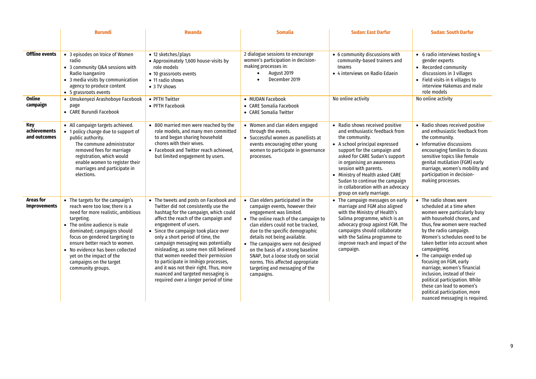|                                         | <b>Burundi</b>                                                                                                                                                                                                                                                                                                                                                            | <b>Rwanda</b>                                                                                                                                                                                                                                                                                                                                                                                                                                                                                                                                             | <b>Somalia</b>                                                                                                                                                                                                                                                                                                                                                                                                                                     | <b>Sudan: East Darfur</b>                                                                                                                                                                                                                                                                                                                                                            | <b>Sudan: South Darfur</b>                                                                                                                                                                                                                                                                                                                                                                                                                                                                                        |
|-----------------------------------------|---------------------------------------------------------------------------------------------------------------------------------------------------------------------------------------------------------------------------------------------------------------------------------------------------------------------------------------------------------------------------|-----------------------------------------------------------------------------------------------------------------------------------------------------------------------------------------------------------------------------------------------------------------------------------------------------------------------------------------------------------------------------------------------------------------------------------------------------------------------------------------------------------------------------------------------------------|----------------------------------------------------------------------------------------------------------------------------------------------------------------------------------------------------------------------------------------------------------------------------------------------------------------------------------------------------------------------------------------------------------------------------------------------------|--------------------------------------------------------------------------------------------------------------------------------------------------------------------------------------------------------------------------------------------------------------------------------------------------------------------------------------------------------------------------------------|-------------------------------------------------------------------------------------------------------------------------------------------------------------------------------------------------------------------------------------------------------------------------------------------------------------------------------------------------------------------------------------------------------------------------------------------------------------------------------------------------------------------|
|                                         |                                                                                                                                                                                                                                                                                                                                                                           |                                                                                                                                                                                                                                                                                                                                                                                                                                                                                                                                                           |                                                                                                                                                                                                                                                                                                                                                                                                                                                    |                                                                                                                                                                                                                                                                                                                                                                                      |                                                                                                                                                                                                                                                                                                                                                                                                                                                                                                                   |
| <b>Offline events</b>                   | • 3 episodes on Voice of Women<br>radio<br>• 3 community Q&A sessions with<br>Radio Isanganiro<br>• 3 media visits by communication<br>agency to produce content<br>• 5 grassroots events                                                                                                                                                                                 | • 12 sketches/plays<br>• Approximately 1,600 house-visits by<br>role models<br>• 10 grassroots events<br>• 11 radio shows<br>• 3 TV shows                                                                                                                                                                                                                                                                                                                                                                                                                 | 2 dialogue sessions to encourage<br>women's participation in decision-<br>making processes in:<br>August 2019<br>$\bullet$<br>December 2019                                                                                                                                                                                                                                                                                                        | • 6 community discussions with<br>community-based trainers and<br><b>Imams</b><br>• 4 interviews on Radio Edaein                                                                                                                                                                                                                                                                     | • 6 radio interviews hosting 4<br>gender experts<br>• Recorded community<br>discussions in 3 villages<br>• Field visits in 6 villages to<br>interview Hakemas and male<br>role models                                                                                                                                                                                                                                                                                                                             |
| Online<br>campaign                      | · Umukenyezi Arashoboye Facebook<br>page<br>• CARE Burundi Facebook                                                                                                                                                                                                                                                                                                       | • PFTH Twitter<br>• PFTH Facebook                                                                                                                                                                                                                                                                                                                                                                                                                                                                                                                         | • MUDAN Facebook<br>• CARE Somalia Facebook<br>• CARE Somalia Twitter                                                                                                                                                                                                                                                                                                                                                                              | No online activity                                                                                                                                                                                                                                                                                                                                                                   | No online activity                                                                                                                                                                                                                                                                                                                                                                                                                                                                                                |
| Key<br>achievements<br>and outcomes     | • All campaign targets achieved.<br>• 1 policy change due to support of<br>public authority.<br>The commune administrator<br>removed fees for marriage<br>registration, which would<br>enable women to register their<br>marriages and participate in<br>elections.                                                                                                       | • 800 married men were reached by the<br>role models, and many men committed<br>to and began sharing household<br>chores with their wives.<br>• Facebook and Twitter reach achieved.<br>but limited engagement by users.                                                                                                                                                                                                                                                                                                                                  | • Women and clan elders engaged<br>through the events.<br>• Successful women as panellists at<br>events encouraging other young<br>women to participate in governance<br>processes.                                                                                                                                                                                                                                                                | • Radio shows received positive<br>and enthusiastic feedback from<br>the community.<br>• A school principal expressed<br>support for the campaign and<br>asked for CARE Sudan's support<br>in organising an awareness<br>session with parents.<br>• Ministry of Health asked CARE<br>Sudan to continue the campaign<br>in collaboration with an advocacy<br>group on early marriage. | • Radio shows received positive<br>and enthusiastic feedback from<br>the community.<br>• Informative discussions<br>encouraging families to discuss<br>sensitive topics like female<br>genital mutilation (FGM) early<br>marriage, women's mobility and<br>participation in decision-<br>making processes.                                                                                                                                                                                                        |
| <b>Areas for</b><br><b>Improvements</b> | • The targets for the campaign's<br>reach were too low; there is a<br>need for more realistic, ambitious<br>targeting.<br>• The online audience is male<br>dominated; campaigns should<br>focus on gendered targeting to<br>ensure better reach to women.<br>• No evidence has been collected<br>yet on the impact of the<br>campaigns on the target<br>community groups. | • The tweets and posts on Facebook and<br>Twitter did not consistently use the<br>hashtag for the campaign, which could<br>affect the reach of the campaign and<br>engagement of users.<br>• Since the campaign took place over<br>only a short period of time, the<br>campaign messaging was potentially<br>misleading, as some men still believed<br>that women needed their permission<br>to participate in Imihigo processes,<br>and it was not their right. Thus, more<br>nuanced and targeted messaging is<br>required over a longer period of time | • Clan elders participated in the<br>campaign events, however their<br>engagement was limited.<br>• The online reach of the campaign to<br>clan elders could not be tracked.<br>due to the specific demographic<br>details not being available.<br>• The campaigns were not designed<br>on the basis of a strong baseline<br>SNAP, but a loose study on social<br>norms. This affected appropriate<br>targeting and messaging of the<br>campaigns. | • The campaign messages on early<br>marriage and FGM also aligned<br>with the Ministry of Health's<br>Salima programme, which is an<br>advocacy group against FGM. The<br>campaigns should collaborate<br>with the Salima programme to<br>improve reach and impact of the<br>campaign.                                                                                               | • The radio shows were<br>scheduled at a time when<br>women were particularly busy<br>with household chores, and<br>thus, few women were reached<br>by the radio campaign.<br>Women's schedules need to be<br>taken better into account when<br>campaigning.<br>• The campaign ended up<br>focusing on FGM, early<br>marriage, women's financial<br>inclusion, instead of their<br>political participation. While<br>these can lead to women's<br>political participation, more<br>nuanced messaging is required. |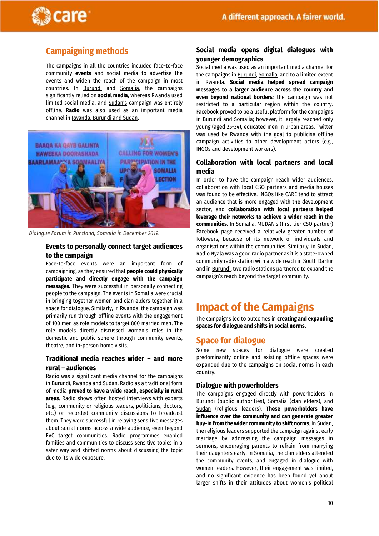

### **Campaigning methods**

The campaigns in all the countries included face-to-face community **events** and social media to advertise the events and widen the reach of the campaign in most countries. In Burundi and Somalia, the campaigns significantly relied on **social media**, whereas Rwanda used limited social media, and Sudan's campaign was entirely offline. **Radio** was also used as an important media channel in Rwanda, Burundi and Sudan.



*Dialogue Forum in Puntland, Somalia. December 2019 Somalia in December 2019.*

#### **Events to personally connect target audiences to the campaign**

Face-to-face events were an important form of campaigning, as they ensured that **people could physically participate and directly engage with the campaign messages.** They were successful in personally connecting people to the campaign. The events in Somalia were crucial in bringing together women and clan elders together in a space for dialogue. Similarly, in Rwanda, the campaign was primarily run through offline events with the engagement of 100 men as role models to target 800 married men. The role models directly discussed women's roles in the domestic and public sphere through community events, theatre, and in-person home visits.

#### **Traditional media reaches wider – and more rural – audiences**

Radio was a significant media channel for the campaigns in Burundi, Rwanda and Sudan. Radio as a traditional form of media **proved to have a wide reach, especially in rural areas**. Radio shows often hosted interviews with experts (e.g., community or religious leaders, politicians, doctors, etc.) or recorded community discussions to broadcast them. They were successful in relaying sensitive messages about social norms across a wide audience, even beyond EVC target communities. Radio programmes enabled families and communities to discuss sensitive topics in a safer way and shifted norms about discussing the topic due to its wide exposure.

#### **Social media opens digital dialogues with younger demographics**

Social media was used as an important media channel for the campaigns in Burundi, Somalia, and to a limited extent in Rwanda. **Social media helped spread campaign messages to a larger audience across the country and even beyond national borders**; the campaign was not restricted to a particular region within the country. Facebook proved to be a useful platform for the campaigns in Burundi and Somalia; however, it largely reached only young (aged 25-34), educated men in urban areas. Twitter was used by Rwanda with the goal to publicise offline campaign activities to other development actors (e.g., INGOs and development workers).

#### **Collaboration with local partners and local media**

In order to have the campaign reach wider audiences, collaboration with local CSO partners and media houses was found to be effective. INGOs like CARE tend to attract an audience that is more engaged with the development sector, and **collaboration with local partners helped leverage their networks to achieve a wider reach in the communities.** In Somalia, MUDAN's (first-tier CSO partner) Facebook page received a relatively greater number of followers, because of its network of individuals and organisations within the communities. Similarly, in Sudan, Radio Nyala was a good radio partner as it is a state-owned community radio station with a wide reach in South Darfur and in Burundi, two radio stations partnered to expand the campaign's reach beyond the target community.

## <span id="page-9-0"></span>**Impact of the Campaigns**

The campaigns led to outcomes in **creating and expanding spaces for dialogue and shifts in social norms.**

#### <span id="page-9-1"></span>**Space for dialogue**

Some new spaces for dialogue were created predominantly online and existing offline spaces were expanded due to the campaigns on social norms in each country.

#### **Dialogue with powerholders**

The campaigns engaged directly with powerholders in Burundi (public authorities), Somalia (clan elders), and Sudan (religious leaders). **These powerholders have influence over the community and can generate greater buy-in from the wider community to shift norms**. In Sudan, the religious leaders supported the campaign against early marriage by addressing the campaign messages in sermons, encouraging parents to refrain from marrying their daughters early. In Somalia, the clan elders attended the community events, and engaged in dialogue with women leaders. However, their engagement was limited, and no significant evidence has been found yet about larger shifts in their attitudes about women's political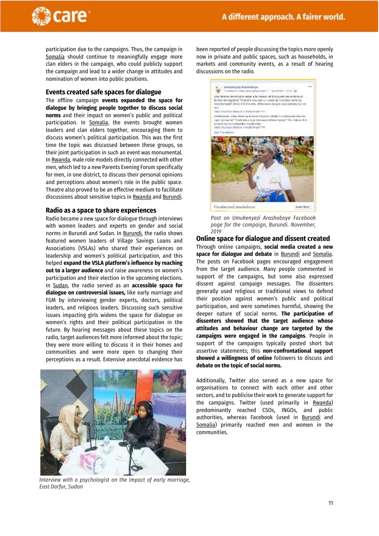

participation due to the campaigns. Thus, the campaign in Somalia should continue to meaningfully engage more clan elders in the campaign, who could publicly support the campaign and lead to a wider change in attitudes and nomination of women into public positions.

#### **Events created safe spaces for dialogue**

The offline campaign **events expanded the space for dialogue by bringing people together to discuss social norms** and their impact on women's public and political participation. In Somalia, the events brought women leaders and clan elders together, encouraging them to discuss women's political participation. This was the first time the topic was discussed between these groups, so their joint participation in such an event was monumental. In Rwanda, male role models directly connected with other men, which led to a new Parents Evening Forum specifically for men, in one district, to discuss their personal opinions and perceptions about women's role in the public space. Theatre also proved to be an effective medium to facilitate discussions about sensitive topics in Rwanda and Burundi.

#### **Radio as a space to share experiences**

Radio became a new space for dialogue through interviews with women leaders and experts on gender and social norms in Burundi and Sudan. In Burundi, the radio shows featured women leaders of Village Savings Loans and Associations (VSLAs) who shared their experiences on leadership and women's political participation, and this helped **expand the VSLA platform's influence by reaching out to a larger audience** and raise awareness on women's participation and their election in the upcoming elections. In Sudan, the radio served as an **accessible space for dialogue on controversial issues,** like early marriage and FGM by interviewing gender experts, doctors, political leaders, and religious leaders. Discussing such sensitive issues impacting girls widens the space for dialogue on women's rights and their political participation in the future. By hearing messages about these topics on the radio, target audiences felt more informed about the topic; they were more willing to discuss it in their homes and communities and were more open to changing their perceptions as a result. Extensive anecdotal evidence has



*Interview with a psychologist on the impact of early marriage, East Darfur, Sudan*

been reported of people discussing the topics more openly now in private and public spaces, such as households, in markets and community events, as a result of hearing discussions on the radio.



*Post on Umukenyezi Arashoboye Facebook page for the campaign, Burundi. November, 2019* 

**Online space for dialogue and dissent created** Through online campaigns, **social media created a new space for dialogue and debate** in Burundi and Somalia. The posts on Facebook pages encouraged engagement from the target audience. Many people commented in support of the campaigns, but some also expressed dissent against campaign messages. The dissenters generally used religious or traditional views to defend their position against women's public and political participation, and were sometimes harmful, showing the deeper nature of social norms. **The participation of dissenters showed that the target audience whose attitudes and behaviour change are targeted by the campaigns were engaged in the campaigns**. People in support of the campaigns typically posted short but assertive statements; this **non-confrontational support showed a willingness of online** followers to discuss and **debate on the topic of social norms.**

Additionally, Twitter also served as a new space for organisations to connect with each other and other sectors, and to publicise their work to generate support for the campaigns. Twitter (used primarily in Rwanda) predominantly reached CSOs, INGOs, and public authorities, whereas Facebook (used in Burundi and Somalia) primarily reached men and women in the communities.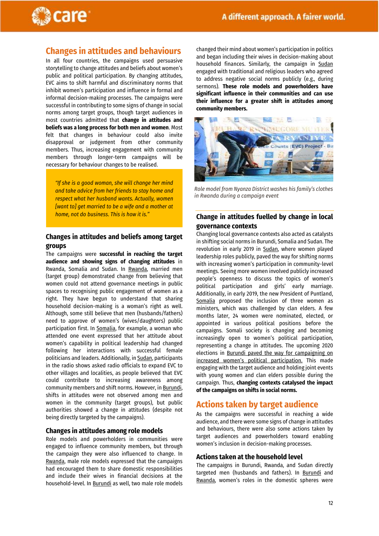

#### <span id="page-11-0"></span>**Changes in attitudes and behaviours**

In all four countries, the campaigns used persuasive storytelling to change attitudes and beliefs about women's public and political participation. By changing attitudes, EVC aims to shift harmful and discriminatory norms that inhibit women's participation and influence in formal and informal decision-making processes. The campaigns were successful in contributing to some signs of change in social norms among target groups, though target audiences in most countries admitted that **change in attitudes and beliefs was a long process for both men and women**. Most felt that changes in behaviour could also invite disapproval or judgement from other community members. Thus, increasing engagement with community members through longer-term campaigns will be necessary for behaviour changes to be realised.

*"If she is a good woman, she will change her mind and take advice from her friends to stay home and respect what her husband wants. Actually, women [want to] get married to be a wife and a mother at home, not do business. This is how it is."*

#### **Changes in attitudes and beliefs among target groups**

The campaigns were **successful in reaching the target audience and showing signs of changing attitudes** in Rwanda, Somalia and Sudan. In Rwanda, married men (target group) demonstrated change from believing that women could not attend governance meetings in public spaces to recognising public engagement of women as a right. They have begun to understand that sharing household decision-making is a woman's right as well. Although, some still believe that men (husbands/fathers) need to approve of women's (wives/daughters) public participation first. In Somalia, for example, a woman who attended one event expressed that her attitude about women's capability in political leadership had changed following her interactions with successful female politicians and leaders. Additionally, in Sudan, participants in the radio shows asked radio officials to expand EVC to other villages and localities, as people believed that EVC could contribute to increasing awareness among community members and shift norms. However, in Burundi, shifts in attitudes were not observed among men and women in the community (target groups), but public authorities showed a change in attitudes (despite not being directly targeted by the campaigns).

#### **Changes in attitudes among role models**

Role models and powerholders in communities were engaged to influence community members, but through the campaign they were also influenced to change. In Rwanda, male role models expressed that the campaigns had encouraged them to share domestic responsibilities and include their wives in financial decisions at the household-level. In Burundi as well, two male role models changed their mind about women's participation in politics and began including their wives in decision-making about household finances. Similarly, the campaign in Sudan engaged with traditional and religious leaders who agreed to address negative social norms publicly (e.g., during sermons). **These role models and powerholders have significant influence in their communities and can use their influence for a greater shift in attitudes among community members.**



*Role model from Nyanza District washes his family's clothes in Rwanda during a campaign event*

#### **Change in attitudes fuelled by change in local governance contexts**

Changing local governance contexts also acted as catalysts in shifting social norms in Burundi, Somalia and Sudan. The revolution in early 2019 in Sudan, where women played leadership roles publicly, paved the way for shifting norms with increasing women's participation in community-level meetings. Seeing more women involved publicly increased people's openness to discuss the topics of women's political participation and girls' early marriage. Additionally, in early 2019, the new President of Puntland, Somalia proposed the inclusion of three women as ministers, which was challenged by clan elders. A few months later, 24 women were nominated, elected, or appointed in various political positions before the campaigns. Somali society is changing and becoming increasingly open to women's political participation, representing a change in attitudes. The upcoming 2020 elections in Burundi paved the way for campaigning on increased women's political participation. This made engaging with the target audience and holding joint events with young women and clan elders possible during the campaign. Thus, **changing contexts catalysed the impact of the campaigns on shifts in social norms.** 

#### <span id="page-11-1"></span>**Actions taken by target audience**

As the campaigns were successful in reaching a wide audience, and there were some signs of change in attitudes and behaviours, there were also some actions taken by target audiences and powerholders toward enabling women's inclusion in decision-making processes.

#### **Actions taken at the household level**

The campaigns in Burundi, Rwanda, and Sudan directly targeted men (husbands and fathers). In Burundi and Rwanda, women's roles in the domestic spheres were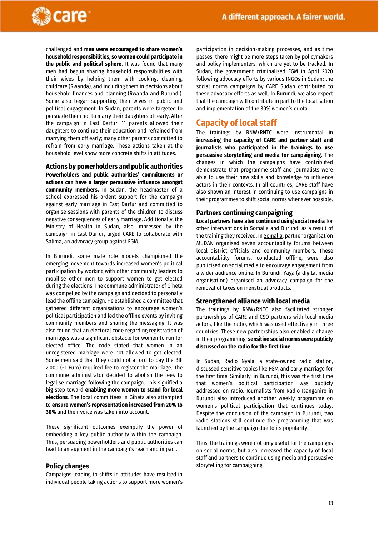

challenged and **men were encouraged to share women's household responsibilities, so women could participate in the public and political sphere**. It was found that many men had begun sharing household responsibilities with their wives by helping them with cooking, cleaning, childcare (Rwanda), and including them in decisions about household finances and planning (Rwanda and Burundi). Some also began supporting their wives in public and political engagement. In Sudan, parents were targeted to persuade them not to marry their daughters off early. After the campaign in East Darfur, 11 parents allowed their daughters to continue their education and refrained from marrying them off early; many other parents committed to refrain from early marriage. These actions taken at the household level show more concrete shifts in attitudes.

**Actions by powerholders and public authorities Powerholders and public authorities' commitments or actions can have a larger persuasive influence amongst community members.** In Sudan, the headmaster of a school expressed his ardent support for the campaign against early marriage in East Darfur and committed to organise sessions with parents of the children to discuss negative consequences of early marriage. Additionally, the Ministry of Health in Sudan, also impressed by the campaign in East Darfur, urged CARE to collaborate with Salima, an advocacy group against FGM.

In Burundi, some male role models championed the emerging movement towards increased women's political participation by working with other community leaders to mobilise other men to support women to get elected during the elections. The commune administrator of Giheta was compelled by the campaign and decided to personally lead the offline campaign. He established a committee that gathered different organisations to encourage women's political participation and led the offline events by inviting community members and sharing the messaging. It was also found that an electoral code regarding registration of marriages was a significant obstacle for women to run for elected office. The code stated that women in an unregistered marriage were not allowed to get elected. Some men said that they could not afford to pay the BIF 2,000 (~1 Euro) required fee to register the marriage. The commune administrator decided to abolish the fees to legalise marriage following the campaign. This signified a big step toward **enabling more women to stand for local elections**. The local committees in Giheta also attempted to **ensure women's representation increased from 20% to 30%** and their voice was taken into account.

These significant outcomes exemplify the power of embedding a key public authority within the campaign. Thus, persuading powerholders and public authorities can lead to an augment in the campaign's reach and impact.

#### **Policy changes**

Campaigns leading to shifts in attitudes have resulted in individual people taking actions to support more women's

participation in decision-making processes, and as time passes, there might be more steps taken by policymakers and policy implementers, which are yet to be tracked. In Sudan, the government criminalised FGM in April 2020 following advocacy efforts by various INGOs in Sudan; the social norms campaigns by CARE Sudan contributed to these advocacy efforts as well. In Burundi, we also expect that the campaign will contribute in part to the localisation and implementation of the 30% women's quota.

#### <span id="page-12-0"></span>**Capacity of local staff**

The trainings by RNW/RNTC were instrumental in **increasing the capacity of CARE and partner staff and journalists who participated in the trainings to use persuasive storytelling and media for campaigning.** The changes in which the campaigns have contributed demonstrate that programme staff and journalists were able to use their new skills and knowledge to influence actors in their contexts. In all countries, CARE staff have also shown an interest in continuing to use campaigns in their programmes to shift social norms whenever possible.

#### **Partners continuing campaigning**

**Local partners have also continued using social media** for other interventions in Somalia and Burundi as a result of the training they received. In Somalia, partner organisation MUDAN organised seven accountability forums between local district officials and community members. These accountability forums, conducted offline, were also publicised on social media to encourage engagement from a wider audience online. In Burundi, Yaga (a digital media organisation) organised an advocacy campaign for the removal of taxes on menstrual products.

#### **Strengthened alliance with local media**

The trainings by RNW/RNTC also facilitated stronger partnerships of CARE and CSO partners with local media actors, like the radio, which was used effectively in three countries. These new partnerships also enabled a change in their programming: **sensitive social norms were publicly discussed on the radio for the first time**.

In Sudan, Radio Nyala, a state-owned radio station, discussed sensitive topics like FGM and early marriage for the first time. Similarly, in **Burundi**, this was the first time that women's political participation was publicly addressed on radio. Journalists from Radio Isanganiro in Burundi also introduced another weekly programme on women's political participation that continues today. Despite the conclusion of the campaign in Burundi, two radio stations still continue the programming that was launched by the campaign due to its popularity.

Thus, the trainings were not only useful for the campaigns on social norms, but also increased the capacity of local staff and partners to continue using media and persuasive storytelling for campaigning.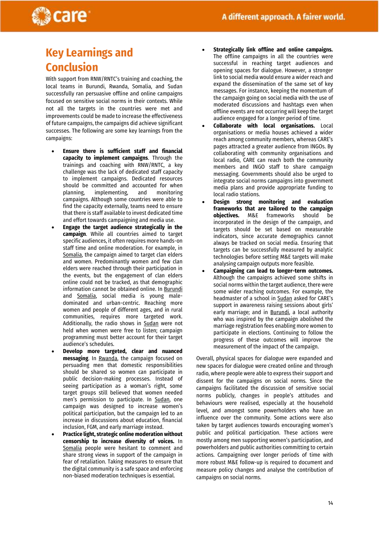

## <span id="page-13-0"></span>**Key Learnings and Conclusion**

With support from RNW/RNTC's training and coaching, the local teams in Burundi, Rwanda, Somalia, and Sudan successfully ran persuasive offline and online campaigns focused on sensitive social norms in their contexts. While not all the targets in the countries were met and improvements could be made to increase the effectiveness of future campaigns, the campaigns did achieve significant successes. The following are some key learnings from the campaigns:

- **Ensure there is sufficient staff and financial capacity to implement campaigns**. Through the trainings and coaching with RNW/RNTC, a key challenge was the lack of dedicated staff capacity to implement campaigns. Dedicated resources should be committed and accounted for when planning, implementing, and monitoring campaigns. Although some countries were able to find the capacity externally, teams need to ensure that there is staff available to invest dedicated time and effort towards campaigning and media use.
- **Engage the target audience strategically in the campaign**. While all countries aimed to target specific audiences, it often requires more hands-on staff time and online moderation. For example, in Somalia, the campaign aimed to target clan elders and women. Predominantly women and few clan elders were reached through their participation in the events, but the engagement of clan elders online could not be tracked, as that demographic information cannot be obtained online. In Burundi and Somalia, social media is young maledominated and urban-centric. Reaching more women and people of different ages, and in rural communities, requires more targeted work. Additionally, the radio shows in Sudan were not held when women were free to listen; campaign programming must better account for their target audience's schedules.
- **Develop more targeted, clear and nuanced messaging**. In Rwanda, the campaign focused on persuading men that domestic responsibilities should be shared so women can participate in public decision-making processes. Instead of seeing participation as a woman's right, some target groups still believed that women needed men's permission to participate. In Sudan, one campaign was designed to increase women's political participation, but the campaign led to an increase in discussions about education, financial inclusion, FGM, and early marriage instead.
- **Practice light, strategic online moderation without censorship to increase diversity of voices.** In Somalia people were hesitant to comment and share strong views in support of the campaign in fear of retaliation. Taking measures to ensure that the digital community is a safe space and enforcing non-biased moderation techniques is essential.
- **Strategically link offline and online campaigns.**  The offline campaigns in all the countries were successful in reaching target audiences and opening spaces for dialogue. However, a stronger link to social media would ensure a wider reach and expand the dissemination of the same set of key messages. For instance, keeping the momentum of the campaign going on social media with the use of moderated discussions and hashtags even when offline events are not occurring will keep the target audience engaged for a longer period of time.
- **Collaborate with local organisations.** Local organisations or media houses achieved a wider reach among community members, whereas CARE's pages attracted a greater audience from INGOs. By collaborating with community organisations and local radio, CARE can reach both the community members and INGO staff to share campaign messaging. Governments should also be urged to integrate social norms campaigns into government media plans and provide appropriate funding to local radio stations.
- **Design strong monitoring and evaluation frameworks that are tailored to the campaign objectives.** M&E frameworks should be incorporated in the design of the campaign, and targets should be set based on measurable indicators, since accurate demographics cannot always be tracked on social media. Ensuring that targets can be successfully measured by analytic technologies before setting M&E targets will make analysing campaign outputs more feasible.
- **Campaigning can lead to longer-term outcomes.**  Although the campaigns achieved some shifts in social norms within the target audience, there were some wider reaching outcomes. For example, the headmaster of a school in Sudan asked for CARE's support in awareness raising sessions about girls' early marriage; and in **Burundi**, a local authority who was inspired by the campaign abolished the marriage registration fees enabling more women to participate in elections. Continuing to follow the progress of these outcomes will improve the measurement of the impact of the campaign.

Overall, physical spaces for dialogue were expanded and new spaces for dialogue were created online and through radio, where people were able to express their support and dissent for the campaigns on social norms. Since the campaigns facilitated the discussion of sensitive social norms publicly, changes in people's attitudes and behaviours were realised, especially at the household level, and amongst some powerholders who have an influence over the community. Some actions were also taken by target audiences towards encouraging women's public and political participation. These actions were mostly among men supporting women's participation, and powerholders and public authorities committing to certain actions. Campaigning over longer periods of time with more robust M&E follow-up is required to document and measure policy changes and analyse the contribution of campaigns on social norms.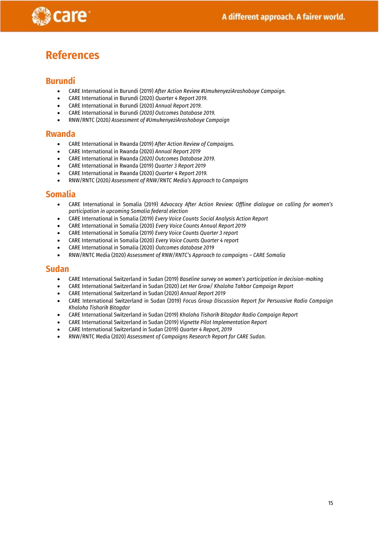

## <span id="page-14-0"></span>**References**

#### **Burundi**

- CARE International in Burundi (2019) *After Action Review #UmukenyeziArashoboye Campaign.*
- CARE International in Burundi (2020) *Quarter 4 Report 2019.*
- CARE International in Burundi (2020) *Annual Report 2019.*
- CARE International in Burundi *(2020) Outcomes Database 2019.*
- RNW/RNTC (2020*) Assessment of #UmukenyeziArashoboye Campaign*

#### **Rwanda**

- CARE International in Rwanda (2019) *After Action Review of Campaigns.*
- CARE International in Rwanda (2020) *Annual Report 2019*
- CARE International in Rwanda *(2020) Outcomes Database 2019.*
- CARE International in Rwanda (2019) *Quarter 3 Report 2019*
- CARE International in Rwanda (2020) *Quarter 4 Report 2019.*
- RNW/RNTC (2020*) Assessment of RNW/RNTC Media's Approach to Campaigns*

#### **Somalia**

- CARE International in Somalia (2019) *Advocacy After Action Review: Offline dialogue on calling for women's participation in upcoming Somalia federal election*
- CARE International in Somalia (2019) *Every Voice Counts Social Analysis Action Report*
- CARE International in Somalia (2020) *Every Voice Counts Annual Report 2019*
- CARE International in Somalia (2019) *Every Voice Counts Quarter 3 report*
- CARE International in Somalia (2020) *Every Voice Counts Quarter 4 report*
- CARE International in Somalia (2020) *Outcomes database 2019*
- RNW/RNTC Media (2020) *Assessment of RNW/RNTC's Approach to campaigns – CARE Somalia*

#### **Sudan**

- CARE International Switzerland in Sudan (2019) *Baseline survey on women's participation in decision-making*
- CARE International Switzerland in Sudan (2020) *Let Her Grow/ Khaloha Takbar Campaign Report*
- CARE International Switzerland in Sudan (2020) *Annual Report 2019*
- CARE International Switzerland in Sudan (2019) *Focus Group Discussion Report for Persuasive Radio Campaign Khaloha Tisharik Bitagdar*
- CARE International Switzerland in Sudan (2019) *Khaloha Tisharik Bitagdar Radio Campaign Report*
- CARE International Switzerland in Sudan (2019) *Vignette Pilot Implementation Report*
- CARE International Switzerland in Sudan (2019) *Quarter 4 Report, 2019*
- RNW/RNTC Media (2020) *Assessment of Campaigns Research Report for CARE Sudan.*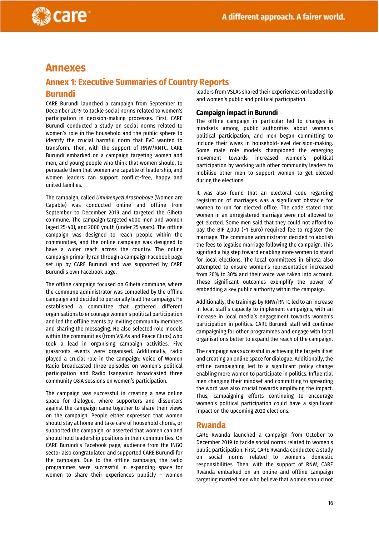

# <span id="page-15-0"></span>**Annexes**

care

### <span id="page-15-1"></span>**Annex 1: Executive Summaries of Country Reports Burundi**

CARE Burundi launched a campaign from September to December 2019 to tackle social norms related to women's participation in decision-making processes. First, CARE Burundi conducted a study on social norms related to women's role in the household and the public sphere to identify the crucial harmful norm that EVC wanted to transform. Then, with the support of RNW/RNTC, CARE Burundi embarked on a campaign targeting women and men, and young people who think that women should, to persuade them that women are capable of leadership, and women leaders can support conflict-free, happy and united families.

The campaign, called *Umukenyezi Arashoboye* (Women are Capable) was conducted online and offline from September to December 2019 and targeted the Giheta commune. The campaign targeted 4000 men and women (aged 25-40), and 2000 youth (under 25 years). The offline campaign was designed to reach people within the communities, and the online campaign was designed to have a wider reach across the country. The online campaign primarily ran through a campaign Facebook page set up by CARE Burundi and was supported by CARE Burundi's own Facebook page.

The offline campaign focused on Giheta commune, where the commune administrator was compelled by the offline campaign and decided to personally lead the campaign. He established a committee that gathered different organisations to encourage women's political participation and led the offline events by inviting community members and sharing the messaging. He also selected role models within the communities (from VSLAs and Peace Clubs) who took a lead in organising campaign activities. Five grassroots events were organised. Additionally, radio played a crucial role in the campaign: Voice of Women Radio broadcasted three episodes on women's political participation and Radio Isanganiro broadcasted three community Q&A sessions on women's participation.

The campaign was successful in creating a new online space for dialogue, where supporters and dissenters against the campaign came together to share their views on the campaign. People either expressed that women should stay at home and take care of household chores, or supported the campaign, or asserted that women can and should hold leadership positions in their communities. On CARE Burundi's Facebook page, audience from the INGO sector also congratulated and supported CARE Burundi for the campaign. Due to the offline campaign, the radio programmes were successful in expanding space for women to share their experiences publicly – women leaders from VSLAs shared their experiences on leadership and women's public and political participation.

#### **Campaign impact in Burundi**

The offline campaign in particular led to changes in mindsets among public authorities about women's political participation, and men began committing to include their wives in household-level decision-making. Some male role models championed the emerging movement towards increased women's political participation by working with other community leaders to mobilise other men to support women to get elected during the elections.

It was also found that an electoral code regarding registration of marriages was a significant obstacle for women to run for elected office. The code stated that women in an unregistered marriage were not allowed to get elected. Some men said that they could not afford to pay the BIF 2,000 (~1 Euro) required fee to register the marriage. The commune administrator decided to abolish the fees to legalise marriage following the campaign. This signified a big step toward enabling more women to stand for local elections. The local committees in Giheta also attempted to ensure women's representation increased from 20% to 30% and their voice was taken into account. These significant outcomes exemplify the power of embedding a key public authority within the campaign.

Additionally, the trainings by RNW/RNTC led to an increase in local staff's capacity to implement campaigns, with an increase in local media's engagement towards women's participation in politics. CARE Burundi staff will continue campaigning for other programmes and engage with local organisations better to expand the reach of the campaign.

The campaign was successful in achieving the targets it set and creating an online space for dialogue. Additionally, the offline campaigning led to a significant policy change enabling more women to participate in politics. Influential men changing their mindset and committing to spreading the word was also crucial towards amplifying the impact. Thus, campaigning efforts continuing to encourage women's political participation could have a significant impact on the upcoming 2020 elections.

#### **Rwanda**

CARE Rwanda launched a campaign from October to December 2019 to tackle social norms related to women's public participation. First, CARE Rwanda conducted a study on social norms related to women's domestic responsibilities. Then, with the support of RNW, CARE Rwanda embarked on an online and offline campaign targeting married men who believe that women should not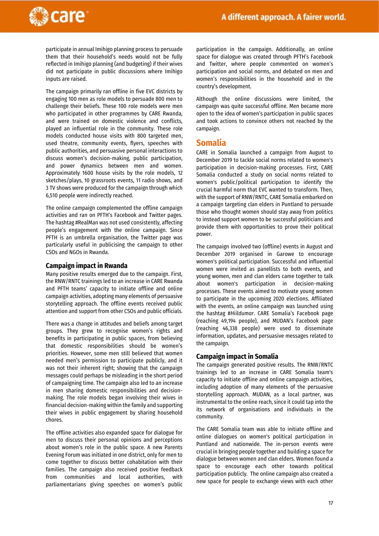

participate in annual Imihigo planning process to persuade them that their household's needs would not be fully reflected in Imihigo planning (and budgeting) if their wives did not participate in public discussions where Imihigo inputs are raised.

The campaign primarily ran offline in five EVC districts by engaging 100 men as role models to persuade 800 men to challenge their beliefs. These 100 role models were men who participated in other programmes by CARE Rwanda, and were trained on domestic violence and conflicts, played an influential role in the community. These role models conducted house visits with 800 targeted men, used theatre, community events, flyers, speeches with public authorities, and persuasive personal interactions to discuss women's decision-making, public participation, and power dynamics between men and women. Approximately 1600 house visits by the role models, 12 sketches/plays, 10 grassroots events, 11 radio shows, and 3 TV shows were produced for the campaign through which 6,510 people were indirectly reached.

The online campaign complemented the offline campaign activities and ran on PFTH's Facebook and Twitter pages. The hashtag #RealMan was not used consistently, affecting people's engagement with the online campaign. Since PFTH is an umbrella organisation, the Twitter page was particularly useful in publicising the campaign to other CSOs and NGOs in Rwanda.

#### **Campaign impact in Rwanda**

Many positive results emerged due to the campaign. First, the RNW/RNTC trainings led to an increase in CARE Rwanda and PFTH teams' capacity to initiate offline and online campaign activities, adopting many elements of persuasive storytelling approach. The offline events received public attention and support from other CSOs and public officials.

There was a change in attitudes and beliefs among target groups. They grew to recognise women's rights and benefits in participating in public spaces, from believing that domestic responsibilities should be women's priorities. However, some men still believed that women needed men's permission to participate publicly, and it was not their inherent right; showing that the campaign messages could perhaps be misleading in the short period of campaigning time. The campaign also led to an increase in men sharing domestic responsibilities and decisionmaking. The role models began involving their wives in financial decision-making within the family and supporting their wives in public engagement by sharing household chores.

The offline activities also expanded space for dialogue for men to discuss their personal opinions and perceptions about women's role in the public space. A new Parents Evening Forum was initiated in one district, only for men to come together to discuss better cohabitation with their families. The campaign also received positive feedback from communities and local authorities, with parliamentarians giving speeches on women's public

participation in the campaign. Additionally, an online space for dialogue was created through PFTH's Facebook and Twitter, where people commented on women's participation and social norms, and debated on men and women's responsibilities in the household and in the country's development.

Although the online discussions were limited, the campaign was quite successful offline. Men became more open to the idea of women's participation in public spaces and took actions to convince others not reached by the campaign.

#### **Somalia**

CARE in Somalia launched a campaign from August to December 2019 to tackle social norms related to women's participation in decision-making processes. First, CARE Somalia conducted a study on social norms related to women's public/political participation to identify the crucial harmful norm that EVC wanted to transform. Then, with the support of RNW/RNTC, CARE Somalia embarked on a campaign targeting clan elders in Puntland to persuade those who thought women should stay away from politics to instead support women to be successful politicians and provide them with opportunities to prove their political power.

The campaign involved two (offline) events in August and December 2019 organised in Garowe to encourage women's political participation. Successful and influential women were invited as panellists to both events, and young women, men and clan elders came together to talk about women's participation in decision-making processes. These events aimed to motivate young women to participate in the upcoming 2020 elections. Affiliated with the events, an online campaign was launched using the hashtag #*Hiildumar*. CARE Somalia's Facebook page (reaching 49,194 people), and MUDAN's Facebook page (reaching 46,338 people) were used to disseminate information, updates, and persuasive messages related to the campaign.

#### **Campaign impact in Somalia**

The campaign generated positive results. The RNW/RNTC trainings led to an increase in CARE Somalia team's capacity to initiate offline and online campaign activities, including adoption of many elements of the persuasive storytelling approach. MUDAN, as a local partner, was instrumental to the online reach, since it could tap into the its network of organisations and individuals in the community.

The CARE Somalia team was able to initiate offline and online dialogues on women's political participation in Puntland and nationwide. The in-person events were crucial in bringing people together and building a space for dialogue between women and clan elders. Women found a space to encourage each other towards political participation publicly. The online campaign also created a new space for people to exchange views with each other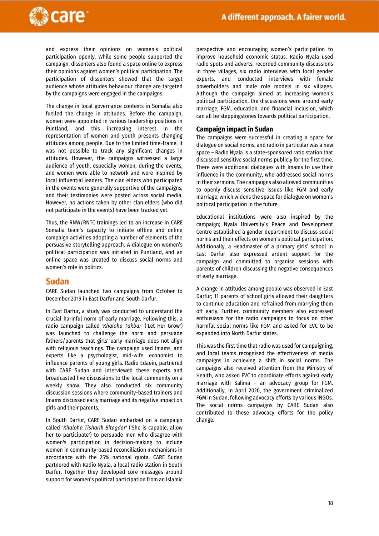

and express their opinions on women's political participation openly. While some people supported the campaign, dissenters also found a space online to express their opinions against women's political participation. The participation of dissenters showed that the target audience whose attitudes behaviour change are targeted by the campaigns were engaged in the campaigns.

The change in local governance contexts in Somalia also fuelled the change in attitudes. Before the campaign, women were appointed in various leadership positions in Puntland, and this increasing interest in the representation of women and youth presents changing attitudes among people. Due to the limited time-frame, it was not possible to track any significant changes in attitudes. However, the campaigns witnessed a large audience of youth, especially women, during the events, and women were able to network and were inspired by local influential leaders. The clan elders who participated in the events were generally supportive of the campaigns, and their testimonies were posted across social media. However, no actions taken by other clan elders (who did not participate in the events) have been tracked yet.

Thus, the RNW/RNTC trainings led to an increase in CARE Somalia team's capacity to initiate offline and online campaign activities adopting a number of elements of the persuasive storytelling approach. A dialogue on women's political participation was initiated in Puntland, and an online space was created to discuss social norms and women's role in politics.

#### **Sudan**

CARE Sudan launched two campaigns from October to December 2019 in East Darfur and South Darfur.

In East Darfur, a study was conducted to understand the crucial harmful norm of early marriage. Following this, a radio campaign called *'Khaloha Takbar'* ('Let Her Grow') was launched to challenge the norm and persuade fathers/parents that girls' early marriage does not align with religious teachings. The campaign used Imams, and experts like a psychologist, mid-wife, economist to influence parents of young girls. Radio Edaein, partnered with CARE Sudan and interviewed these experts and broadcasted live discussions to the local community on a weekly show. They also conducted six community discussion sessions where community-based trainers and Imams discussed early marriage and its negative impact on girls and their parents.

In South Darfur, CARE Sudan embarked on a campaign called *'Khaloha Tisharik Bitagdar'* ('She is capable, allow her to participate') to persuade men who disagree with women's participation in decision-making to include women in community-based reconciliation mechanisms in accordance with the 25% national quota. CARE Sudan partnered with Radio Nyala, a local radio station in South Darfur. Together they developed core messages around support for women's political participation from an Islamic

perspective and encouraging women's participation to improve household economic status. Radio Nyala used radio spots and adverts, recorded community discussions in three villages, six radio interviews with local gender experts, and conducted interviews with female powerholders and male role models in six villages. Although the campaign aimed at increasing women's political participation, the discussions were around early marriage, FGM, education, and financial inclusion, which can all be steppingstones towards political participation.

#### **Campaign impact in Sudan**

The campaigns were successful in creating a space for dialogue on social norms, and radio in particular was a new space – Radio Nyala is a state-sponsored ratio station that discussed sensitive social norms publicly for the first time. There were additional dialogues with Imams to use their influence in the community, who addressed social norms in their sermons. The campaigns also allowed communities to openly discuss sensitive issues like FGM and early marriage, which widens the space for dialogue on women's political participation in the future.

Educational institutions were also inspired by the campaign; Nyala University's Peace and Development Centre established a gender department to discuss social norms and their effects on women's political participation. Additionally, a Headmaster of a primary girls' school in East Darfur also expressed ardent support for the campaign and committed to organise sessions with parents of children discussing the negative consequences of early marriage.

A change in attitudes among people was observed in East Darfur; 11 parents of school girls allowed their daughters to continue education and refrained from marrying them off early. Further, community members also expressed enthusiasm for the radio campaigns to focus on other harmful social norms like FGM and asked for EVC to be expanded into North Darfur states.

This was the first time that radio was used for campaigning, and local teams recognised the effectiveness of media campaigns in achieving a shift in social norms. The campaigns also received attention from the Ministry of Health, who asked EVC to coordinate efforts against early marriage with Salima – an advocacy group for FGM. Additionally, in April 2020, the government criminalized FGM in Sudan, following advocacy efforts by various INGOs. The social norms campaigns by CARE Sudan also contributed to these advocacy efforts for the policy change.